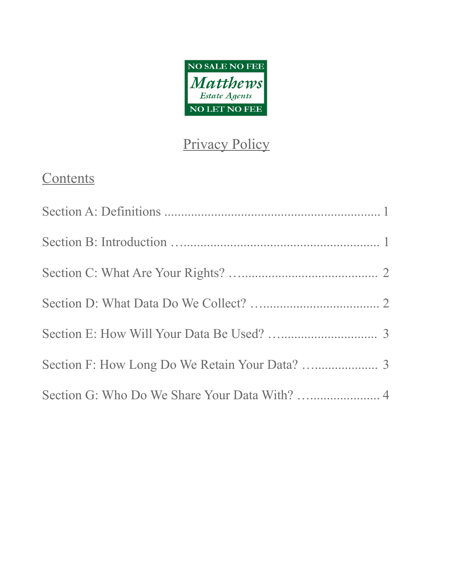

# Privacy Policy

# **Contents**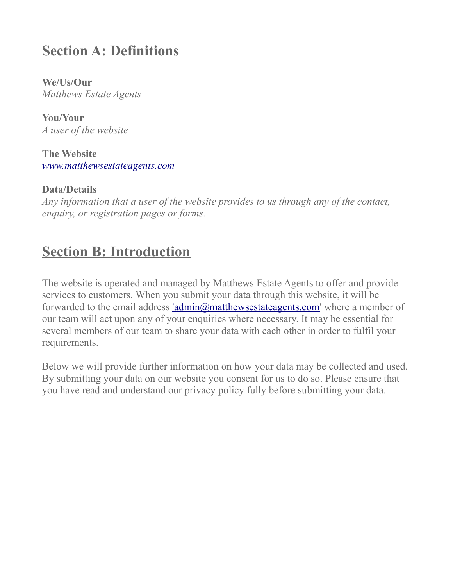### **Section A: Definitions**

**We/Us/Our** *Matthews Estate Agents*

**You/Your** *A user of the website*

**The Website** *[www.matthewsestateagents.com](http://www.matthewsestateagents.com/)*

**Data/Details** *Any information that a user of the website provides to us through any of the contact, enquiry, or registration pages or forms.*

### **Section B: Introduction**

The website is operated and managed by Matthews Estate Agents to offer and provide services to customers. When you submit your data through this website, it will be forwarded to the email address ['admin@matthewsestateagents.com'](mailto:) where a member of our team will act upon any of your enquiries where necessary. It may be essential for several members of our team to share your data with each other in order to fulfil your requirements.

Below we will provide further information on how your data may be collected and used. By submitting your data on our website you consent for us to do so. Please ensure that you have read and understand our privacy policy fully before submitting your data.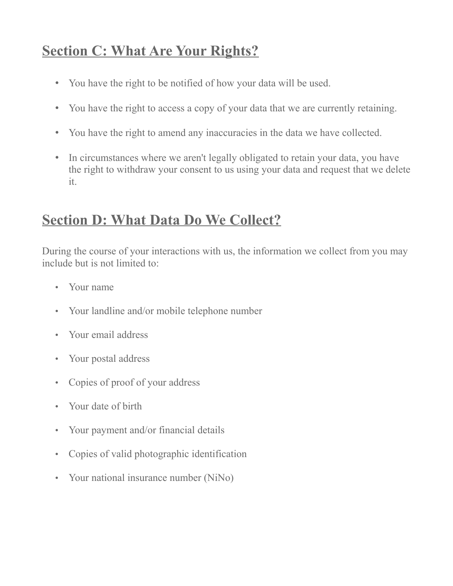### **Section C: What Are Your Rights?**

- You have the right to be notified of how your data will be used.
- You have the right to access a copy of your data that we are currently retaining.
- You have the right to amend any inaccuracies in the data we have collected.
- In circumstances where we aren't legally obligated to retain your data, you have the right to withdraw your consent to us using your data and request that we delete it.

# **Section D: What Data Do We Collect?**

During the course of your interactions with us, the information we collect from you may include but is not limited to:

- Your name
- Your landline and/or mobile telephone number
- Your email address
- Your postal address
- Copies of proof of your address
- Your date of birth
- Your payment and/or financial details
- Copies of valid photographic identification
- Your national insurance number (NiNo)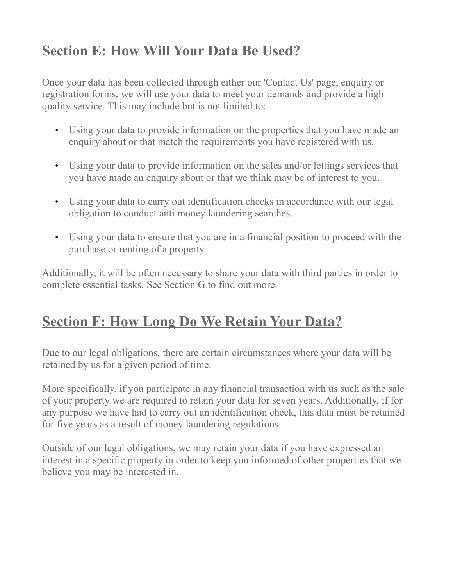# **Section E: How Will Your Data Be Used?**

Once your data has been collected through either our 'Contact Us' page, enquiry or registration forms, we will use your data to meet your demands and provide a high quality service. This may include but is not limited to:

- Using your data to provide information on the properties that you have made an enquiry about or that match the requirements you have registered with us.
- Using your data to provide information on the sales and/or lettings services that you have made an enquiry about or that we think may be of interest to you.
- Using your data to carry out identification checks in accordance with our legal obligation to conduct anti money laundering searches.
- Using your data to ensure that you are in a financial position to proceed with the purchase or renting of a property.

Additionally, it will be often necessary to share your data with third parties in order to complete essential tasks. See Section G to find out more.

# **Section F: How Long Do We Retain Your Data?**

Due to our legal obligations, there are certain circumstances where your data will be retained by us for a given period of time.

More specifically, if you participate in any financial transaction with us such as the sale of your property we are required to retain your data for seven years. Additionally, if for any purpose we have had to carry out an identification check, this data must be retained for five years as a result of money laundering regulations.

Outside of our legal obligations, we may retain your data if you have expressed an interest in a specific property in order to keep you informed of other properties that we believe you may be interested in.